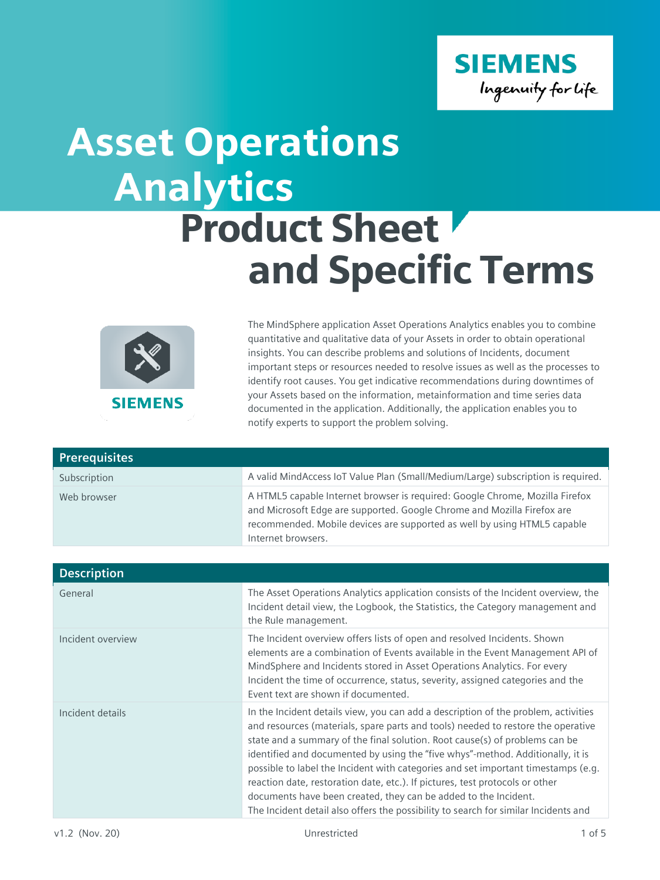

## Analytics Product Sheet and Specific Terms Asset Operations



The MindSphere application Asset Operations Analytics enables you to combine quantitative and qualitative data of your Assets in order to obtain operational insights. You can describe problems and solutions of Incidents, document important steps or resources needed to resolve issues as well as the processes to identify root causes. You get indicative recommendations during downtimes of your Assets based on the information, metainformation and time series data documented in the application. Additionally, the application enables you to notify experts to support the problem solving.

| <b>Prerequisites</b> |                                                                                                                                                                                                                                                           |
|----------------------|-----------------------------------------------------------------------------------------------------------------------------------------------------------------------------------------------------------------------------------------------------------|
| Subscription         | A valid MindAccess IoT Value Plan (Small/Medium/Large) subscription is required.                                                                                                                                                                          |
| Web browser          | A HTML5 capable Internet browser is required: Google Chrome, Mozilla Firefox<br>and Microsoft Edge are supported. Google Chrome and Mozilla Firefox are<br>recommended. Mobile devices are supported as well by using HTML5 capable<br>Internet browsers. |

| <b>Description</b> |                                                                                                                                                                                                                                                                                                                                                                                                                                                                                                                                                                                                                                                                        |
|--------------------|------------------------------------------------------------------------------------------------------------------------------------------------------------------------------------------------------------------------------------------------------------------------------------------------------------------------------------------------------------------------------------------------------------------------------------------------------------------------------------------------------------------------------------------------------------------------------------------------------------------------------------------------------------------------|
| General            | The Asset Operations Analytics application consists of the Incident overview, the<br>Incident detail view, the Logbook, the Statistics, the Category management and<br>the Rule management.                                                                                                                                                                                                                                                                                                                                                                                                                                                                            |
| Incident overview  | The Incident overview offers lists of open and resolved Incidents. Shown<br>elements are a combination of Events available in the Event Management API of<br>MindSphere and Incidents stored in Asset Operations Analytics. For every<br>Incident the time of occurrence, status, severity, assigned categories and the<br>Event text are shown if documented.                                                                                                                                                                                                                                                                                                         |
| Incident details   | In the Incident details view, you can add a description of the problem, activities<br>and resources (materials, spare parts and tools) needed to restore the operative<br>state and a summary of the final solution. Root cause(s) of problems can be<br>identified and documented by using the "five whys"-method. Additionally, it is<br>possible to label the Incident with categories and set important timestamps (e.g.<br>reaction date, restoration date, etc.). If pictures, test protocols or other<br>documents have been created, they can be added to the Incident.<br>The Incident detail also offers the possibility to search for similar Incidents and |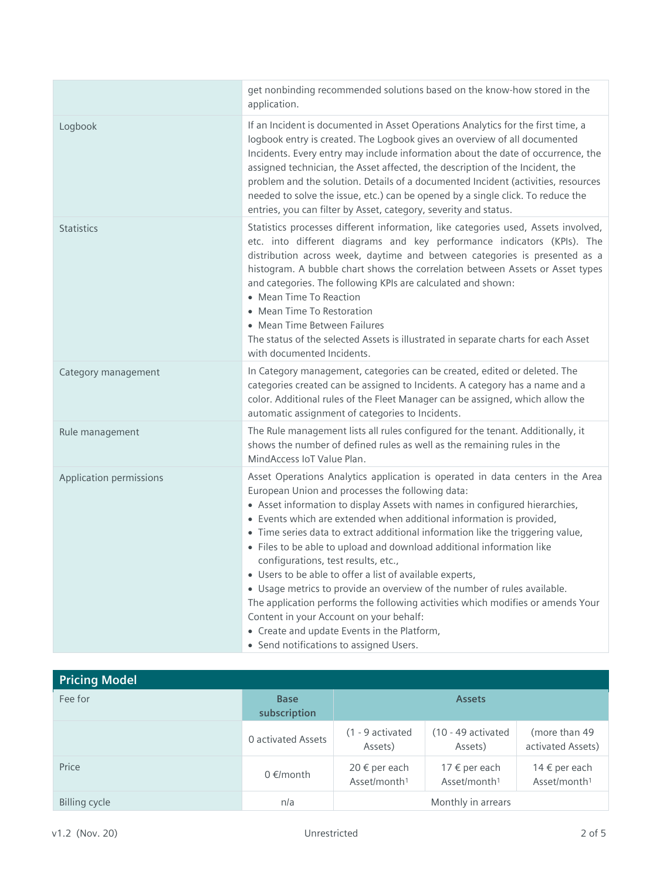|                         | get nonbinding recommended solutions based on the know-how stored in the<br>application.                                                                                                                                                                                                                                                                                                                                                                                                                                                                                                                                                                                                                                                                                                                                                                     |
|-------------------------|--------------------------------------------------------------------------------------------------------------------------------------------------------------------------------------------------------------------------------------------------------------------------------------------------------------------------------------------------------------------------------------------------------------------------------------------------------------------------------------------------------------------------------------------------------------------------------------------------------------------------------------------------------------------------------------------------------------------------------------------------------------------------------------------------------------------------------------------------------------|
| Logbook                 | If an Incident is documented in Asset Operations Analytics for the first time, a<br>logbook entry is created. The Logbook gives an overview of all documented<br>Incidents. Every entry may include information about the date of occurrence, the<br>assigned technician, the Asset affected, the description of the Incident, the<br>problem and the solution. Details of a documented Incident (activities, resources<br>needed to solve the issue, etc.) can be opened by a single click. To reduce the<br>entries, you can filter by Asset, category, severity and status.                                                                                                                                                                                                                                                                               |
| <b>Statistics</b>       | Statistics processes different information, like categories used, Assets involved,<br>etc. into different diagrams and key performance indicators (KPIs). The<br>distribution across week, daytime and between categories is presented as a<br>histogram. A bubble chart shows the correlation between Assets or Asset types<br>and categories. The following KPIs are calculated and shown:<br>• Mean Time To Reaction<br>• Mean Time To Restoration<br>• Mean Time Between Failures<br>The status of the selected Assets is illustrated in separate charts for each Asset<br>with documented Incidents.                                                                                                                                                                                                                                                    |
| Category management     | In Category management, categories can be created, edited or deleted. The<br>categories created can be assigned to Incidents. A category has a name and a<br>color. Additional rules of the Fleet Manager can be assigned, which allow the<br>automatic assignment of categories to Incidents.                                                                                                                                                                                                                                                                                                                                                                                                                                                                                                                                                               |
| Rule management         | The Rule management lists all rules configured for the tenant. Additionally, it<br>shows the number of defined rules as well as the remaining rules in the<br>MindAccess IoT Value Plan.                                                                                                                                                                                                                                                                                                                                                                                                                                                                                                                                                                                                                                                                     |
| Application permissions | Asset Operations Analytics application is operated in data centers in the Area<br>European Union and processes the following data:<br>• Asset information to display Assets with names in configured hierarchies,<br>• Events which are extended when additional information is provided,<br>• Time series data to extract additional information like the triggering value,<br>• Files to be able to upload and download additional information like<br>configurations, test results, etc.,<br>• Users to be able to offer a list of available experts,<br>• Usage metrics to provide an overview of the number of rules available.<br>The application performs the following activities which modifies or amends Your<br>Content in your Account on your behalf:<br>• Create and update Events in the Platform,<br>• Send notifications to assigned Users. |

| <b>Pricing Model</b> |                             |                                                        |                                                    |                                           |
|----------------------|-----------------------------|--------------------------------------------------------|----------------------------------------------------|-------------------------------------------|
| Fee for              | <b>Base</b><br>subscription | <b>Assets</b>                                          |                                                    |                                           |
|                      | <b>0</b> activated Assets   | (1 - 9 activated<br>Assets)                            | $(10 - 49$ activated<br>Assets)                    | (more than 49<br>activated Assets)        |
| Price                | $0 \in$ /month              | $20 \text{ } \in$ per each<br>Asset/month <sup>1</sup> | 17 $\epsilon$ per each<br>Asset/month <sup>1</sup> | 14 € per each<br>Asset/month <sup>1</sup> |
| <b>Billing cycle</b> | n/a                         |                                                        | Monthly in arrears                                 |                                           |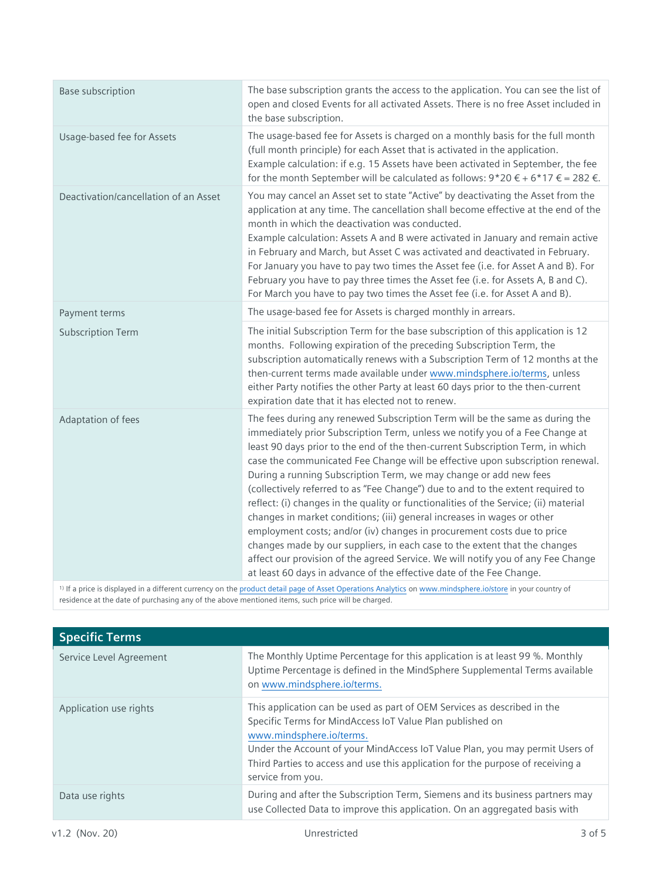| <b>Base subscription</b>              | The base subscription grants the access to the application. You can see the list of<br>open and closed Events for all activated Assets. There is no free Asset included in<br>the base subscription.                                                                                                                                                                                                                                                                                                                                                                                                                                                                                                                                                                                                                                                                                                                                                                            |
|---------------------------------------|---------------------------------------------------------------------------------------------------------------------------------------------------------------------------------------------------------------------------------------------------------------------------------------------------------------------------------------------------------------------------------------------------------------------------------------------------------------------------------------------------------------------------------------------------------------------------------------------------------------------------------------------------------------------------------------------------------------------------------------------------------------------------------------------------------------------------------------------------------------------------------------------------------------------------------------------------------------------------------|
| Usage-based fee for Assets            | The usage-based fee for Assets is charged on a monthly basis for the full month<br>(full month principle) for each Asset that is activated in the application.<br>Example calculation: if e.g. 15 Assets have been activated in September, the fee<br>for the month September will be calculated as follows: $9*20 \tisin 6*17 \tisin = 282 \tisin.$                                                                                                                                                                                                                                                                                                                                                                                                                                                                                                                                                                                                                            |
| Deactivation/cancellation of an Asset | You may cancel an Asset set to state "Active" by deactivating the Asset from the<br>application at any time. The cancellation shall become effective at the end of the<br>month in which the deactivation was conducted.<br>Example calculation: Assets A and B were activated in January and remain active<br>in February and March, but Asset C was activated and deactivated in February.<br>For January you have to pay two times the Asset fee (i.e. for Asset A and B). For<br>February you have to pay three times the Asset fee (i.e. for Assets A, B and C).<br>For March you have to pay two times the Asset fee (i.e. for Asset A and B).                                                                                                                                                                                                                                                                                                                            |
| Payment terms                         | The usage-based fee for Assets is charged monthly in arrears.                                                                                                                                                                                                                                                                                                                                                                                                                                                                                                                                                                                                                                                                                                                                                                                                                                                                                                                   |
| <b>Subscription Term</b>              | The initial Subscription Term for the base subscription of this application is 12<br>months. Following expiration of the preceding Subscription Term, the<br>subscription automatically renews with a Subscription Term of 12 months at the<br>then-current terms made available under www.mindsphere.io/terms, unless<br>either Party notifies the other Party at least 60 days prior to the then-current<br>expiration date that it has elected not to renew.                                                                                                                                                                                                                                                                                                                                                                                                                                                                                                                 |
| Adaptation of fees                    | The fees during any renewed Subscription Term will be the same as during the<br>immediately prior Subscription Term, unless we notify you of a Fee Change at<br>least 90 days prior to the end of the then-current Subscription Term, in which<br>case the communicated Fee Change will be effective upon subscription renewal.<br>During a running Subscription Term, we may change or add new fees<br>(collectively referred to as "Fee Change") due to and to the extent required to<br>reflect: (i) changes in the quality or functionalities of the Service; (ii) material<br>changes in market conditions; (iii) general increases in wages or other<br>employment costs; and/or (iv) changes in procurement costs due to price<br>changes made by our suppliers, in each case to the extent that the changes<br>affect our provision of the agreed Service. We will notify you of any Fee Change<br>at least 60 days in advance of the effective date of the Fee Change. |

1) If a price is displayed in a different currency on th[e product detail page of Asset Operations Analytics](https://www.dex.siemens.com/mindsphere/applications/asset-operation-analytics) o[n www.mindsphere.io/store](http://www.mindsphere.io/store) in your country of residence at the date of purchasing any of the above mentioned items, such price will be charged.

| <b>Specific Terms</b>   |                                                                                                                                                                                                                                                                                                                                                           |
|-------------------------|-----------------------------------------------------------------------------------------------------------------------------------------------------------------------------------------------------------------------------------------------------------------------------------------------------------------------------------------------------------|
| Service Level Agreement | The Monthly Uptime Percentage for this application is at least 99 %. Monthly<br>Uptime Percentage is defined in the MindSphere Supplemental Terms available<br>on www.mindsphere.io/terms.                                                                                                                                                                |
| Application use rights  | This application can be used as part of OEM Services as described in the<br>Specific Terms for MindAccess IoT Value Plan published on<br>www.mindsphere.io/terms.<br>Under the Account of your MindAccess IoT Value Plan, you may permit Users of<br>Third Parties to access and use this application for the purpose of receiving a<br>service from you. |
| Data use rights         | During and after the Subscription Term, Siemens and its business partners may<br>use Collected Data to improve this application. On an aggregated basis with                                                                                                                                                                                              |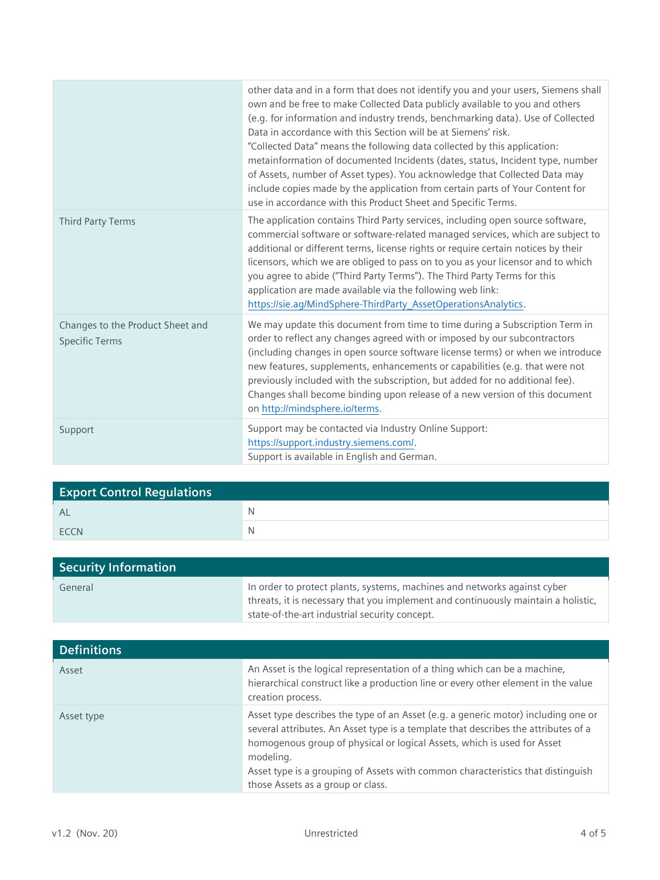|                                                           | other data and in a form that does not identify you and your users, Siemens shall<br>own and be free to make Collected Data publicly available to you and others<br>(e.g. for information and industry trends, benchmarking data). Use of Collected<br>Data in accordance with this Section will be at Siemens' risk.<br>"Collected Data" means the following data collected by this application:<br>metainformation of documented Incidents (dates, status, Incident type, number<br>of Assets, number of Asset types). You acknowledge that Collected Data may<br>include copies made by the application from certain parts of Your Content for<br>use in accordance with this Product Sheet and Specific Terms. |
|-----------------------------------------------------------|--------------------------------------------------------------------------------------------------------------------------------------------------------------------------------------------------------------------------------------------------------------------------------------------------------------------------------------------------------------------------------------------------------------------------------------------------------------------------------------------------------------------------------------------------------------------------------------------------------------------------------------------------------------------------------------------------------------------|
| Third Party Terms                                         | The application contains Third Party services, including open source software,<br>commercial software or software-related managed services, which are subject to<br>additional or different terms, license rights or require certain notices by their<br>licensors, which we are obliged to pass on to you as your licensor and to which<br>you agree to abide ("Third Party Terms"). The Third Party Terms for this<br>application are made available via the following web link:<br>https://sie.ag/MindSphere-ThirdParty_AssetOperationsAnalytics.                                                                                                                                                               |
| Changes to the Product Sheet and<br><b>Specific Terms</b> | We may update this document from time to time during a Subscription Term in<br>order to reflect any changes agreed with or imposed by our subcontractors<br>(including changes in open source software license terms) or when we introduce<br>new features, supplements, enhancements or capabilities (e.g. that were not<br>previously included with the subscription, but added for no additional fee).<br>Changes shall become binding upon release of a new version of this document<br>on http://mindsphere.io/terms.                                                                                                                                                                                         |
| Support                                                   | Support may be contacted via Industry Online Support:<br>https://support.industry.siemens.com/.<br>Support is available in English and German.                                                                                                                                                                                                                                                                                                                                                                                                                                                                                                                                                                     |

| <b>Export Control Regulations</b> |   |
|-----------------------------------|---|
| <b>AL</b>                         | N |
| <b>FCCN</b>                       |   |

| <b>Security Information</b> |                                                                                                                                                               |
|-----------------------------|---------------------------------------------------------------------------------------------------------------------------------------------------------------|
| General                     | In order to protect plants, systems, machines and networks against cyber<br>threats, it is necessary that you implement and continuously maintain a holistic, |
|                             | state-of-the-art industrial security concept.                                                                                                                 |

| <b>Definitions</b> |                                                                                                                                                                                                                                                                                                                                                                                         |
|--------------------|-----------------------------------------------------------------------------------------------------------------------------------------------------------------------------------------------------------------------------------------------------------------------------------------------------------------------------------------------------------------------------------------|
| Asset              | An Asset is the logical representation of a thing which can be a machine,<br>hierarchical construct like a production line or every other element in the value<br>creation process.                                                                                                                                                                                                     |
| Asset type         | Asset type describes the type of an Asset (e.g. a generic motor) including one or<br>several attributes. An Asset type is a template that describes the attributes of a<br>homogenous group of physical or logical Assets, which is used for Asset<br>modeling.<br>Asset type is a grouping of Assets with common characteristics that distinguish<br>those Assets as a group or class. |